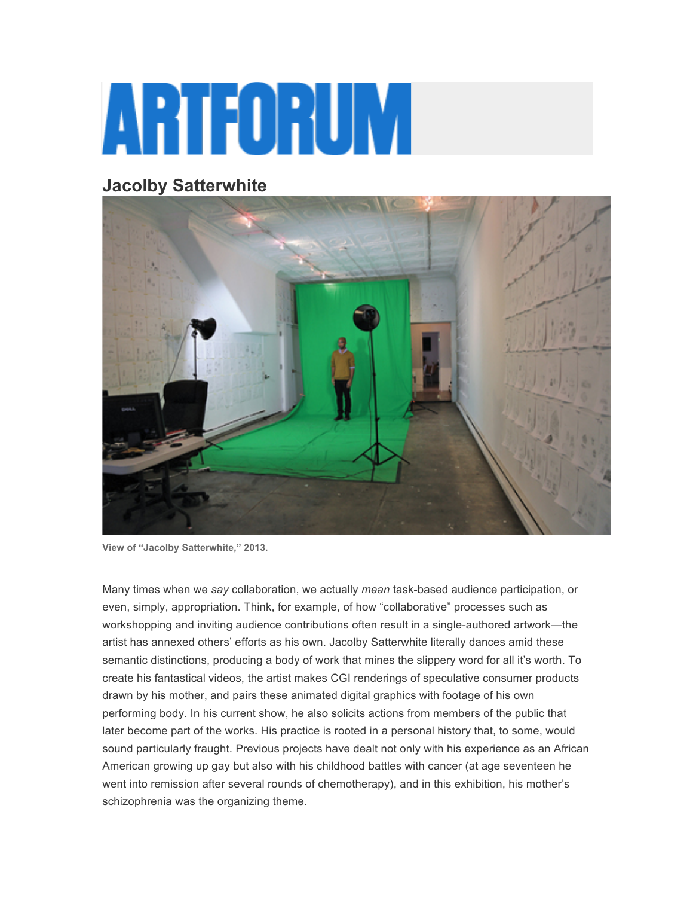## ARTFORUM

## **Jacolby Satterwhite**



**View of "Jacolby Satterwhite," 2013.**

Many times when we *say* collaboration, we actually *mean* task-based audience participation, or even, simply, appropriation. Think, for example, of how "collaborative" processes such as workshopping and inviting audience contributions often result in a single-authored artwork—the artist has annexed others' efforts as his own. Jacolby Satterwhite literally dances amid these semantic distinctions, producing a body of work that mines the slippery word for all it's worth. To create his fantastical videos, the artist makes CGI renderings of speculative consumer products drawn by his mother, and pairs these animated digital graphics with footage of his own performing body. In his current show, he also solicits actions from members of the public that later become part of the works. His practice is rooted in a personal history that, to some, would sound particularly fraught. Previous projects have dealt not only with his experience as an African American growing up gay but also with his childhood battles with cancer (at age seventeen he went into remission after several rounds of chemotherapy), and in this exhibition, his mother's schizophrenia was the organizing theme.